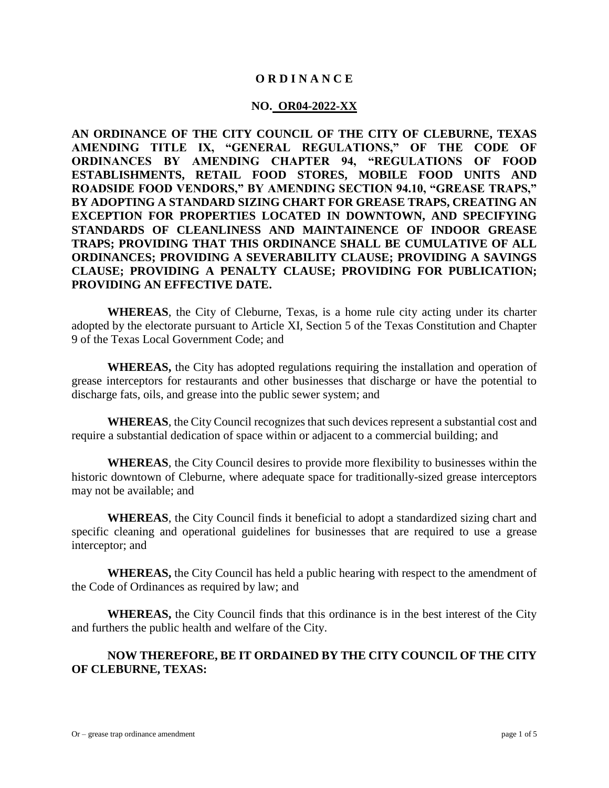#### **O R D I N A N C E**

#### **NO. OR04-2022-XX**

**AN ORDINANCE OF THE CITY COUNCIL OF THE CITY OF CLEBURNE, TEXAS AMENDING TITLE IX, "GENERAL REGULATIONS," OF THE CODE OF ORDINANCES BY AMENDING CHAPTER 94, "REGULATIONS OF FOOD ESTABLISHMENTS, RETAIL FOOD STORES, MOBILE FOOD UNITS AND ROADSIDE FOOD VENDORS," BY AMENDING SECTION 94.10, "GREASE TRAPS," BY ADOPTING A STANDARD SIZING CHART FOR GREASE TRAPS, CREATING AN EXCEPTION FOR PROPERTIES LOCATED IN DOWNTOWN, AND SPECIFYING STANDARDS OF CLEANLINESS AND MAINTAINENCE OF INDOOR GREASE TRAPS; PROVIDING THAT THIS ORDINANCE SHALL BE CUMULATIVE OF ALL ORDINANCES; PROVIDING A SEVERABILITY CLAUSE; PROVIDING A SAVINGS CLAUSE; PROVIDING A PENALTY CLAUSE; PROVIDING FOR PUBLICATION; PROVIDING AN EFFECTIVE DATE.**

**WHEREAS**, the City of Cleburne, Texas, is a home rule city acting under its charter adopted by the electorate pursuant to Article XI, Section 5 of the Texas Constitution and Chapter 9 of the Texas Local Government Code; and

**WHEREAS,** the City has adopted regulations requiring the installation and operation of grease interceptors for restaurants and other businesses that discharge or have the potential to discharge fats, oils, and grease into the public sewer system; and

**WHEREAS**, the City Council recognizes that such devices represent a substantial cost and require a substantial dedication of space within or adjacent to a commercial building; and

**WHEREAS**, the City Council desires to provide more flexibility to businesses within the historic downtown of Cleburne, where adequate space for traditionally-sized grease interceptors may not be available; and

**WHEREAS**, the City Council finds it beneficial to adopt a standardized sizing chart and specific cleaning and operational guidelines for businesses that are required to use a grease interceptor; and

**WHEREAS,** the City Council has held a public hearing with respect to the amendment of the Code of Ordinances as required by law; and

**WHEREAS,** the City Council finds that this ordinance is in the best interest of the City and furthers the public health and welfare of the City.

### **NOW THEREFORE, BE IT ORDAINED BY THE CITY COUNCIL OF THE CITY OF CLEBURNE, TEXAS:**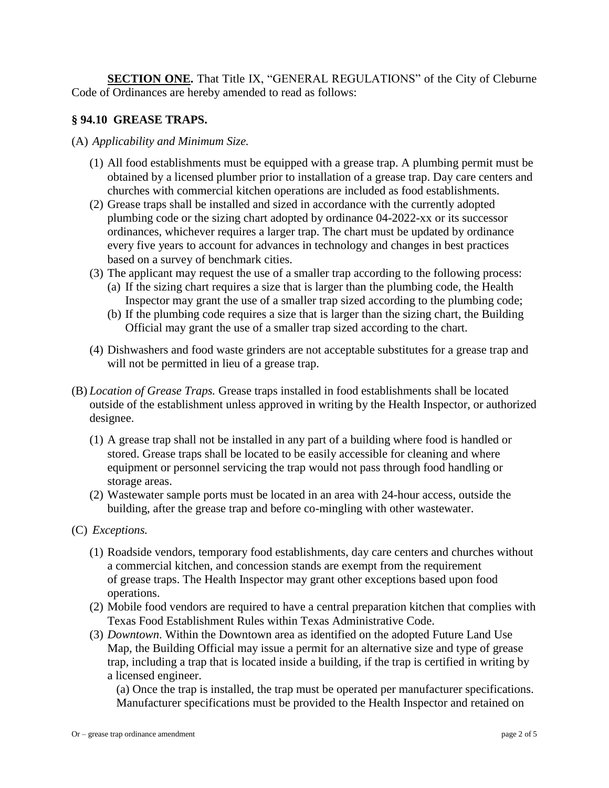**SECTION ONE.** That Title IX, "GENERAL REGULATIONS" of the City of Cleburne Code of Ordinances are hereby amended to read as follows:

## **§ 94.10 GREASE TRAPS.**

- (A) *Applicability and Minimum Size.*
	- (1) All food establishments must be equipped with a grease trap. A plumbing permit must be obtained by a licensed plumber prior to installation of a grease trap. Day care centers and churches with commercial kitchen operations are included as food establishments.
	- (2) Grease traps shall be installed and sized in accordance with the currently adopted plumbing code or the sizing chart adopted by ordinance 04-2022-xx or its successor ordinances, whichever requires a larger trap. The chart must be updated by ordinance every five years to account for advances in technology and changes in best practices based on a survey of benchmark cities.
	- (3) The applicant may request the use of a smaller trap according to the following process:
		- (a) If the sizing chart requires a size that is larger than the plumbing code, the Health Inspector may grant the use of a smaller trap sized according to the plumbing code;
		- (b) If the plumbing code requires a size that is larger than the sizing chart, the Building Official may grant the use of a smaller trap sized according to the chart.
	- (4) Dishwashers and food waste grinders are not acceptable substitutes for a grease trap and will not be permitted in lieu of a grease trap.
- (B) *Location of Grease Traps.* Grease traps installed in food establishments shall be located outside of the establishment unless approved in writing by the Health Inspector, or authorized designee.
	- (1) A grease trap shall not be installed in any part of a building where food is handled or stored. Grease traps shall be located to be easily accessible for cleaning and where equipment or personnel servicing the trap would not pass through food handling or storage areas.
	- (2) Wastewater sample ports must be located in an area with 24-hour access, outside the building, after the grease trap and before co-mingling with other wastewater.
- (C) *Exceptions.*
	- (1) Roadside vendors, temporary food establishments, day care centers and churches without a commercial kitchen, and concession stands are exempt from the requirement of grease traps. The Health Inspector may grant other exceptions based upon food operations.
	- (2) Mobile food vendors are required to have a central preparation kitchen that complies with Texas Food Establishment Rules within Texas Administrative Code.
	- (3) *Downtown*. Within the Downtown area as identified on the adopted Future Land Use Map, the Building Official may issue a permit for an alternative size and type of grease trap, including a trap that is located inside a building, if the trap is certified in writing by a licensed engineer.

(a) Once the trap is installed, the trap must be operated per manufacturer specifications. Manufacturer specifications must be provided to the Health Inspector and retained on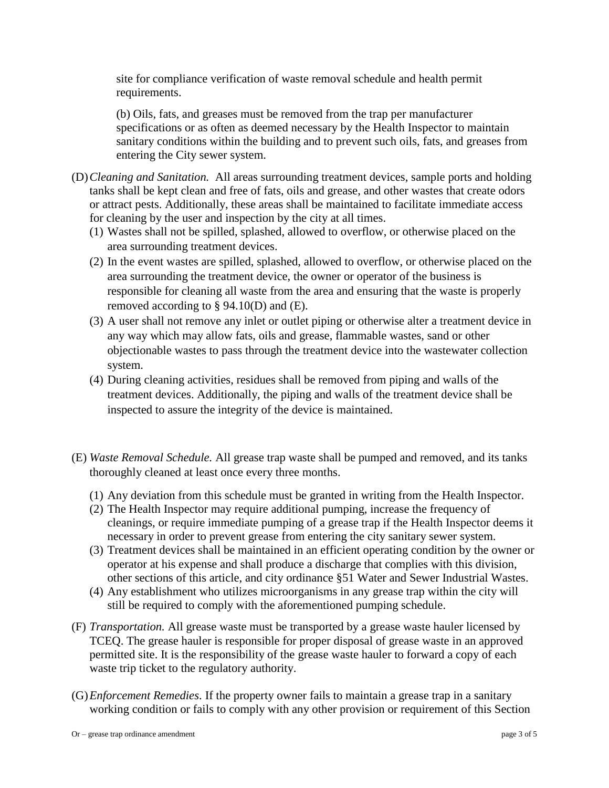site for compliance verification of waste removal schedule and health permit requirements.

(b) Oils, fats, and greases must be removed from the trap per manufacturer specifications or as often as deemed necessary by the Health Inspector to maintain sanitary conditions within the building and to prevent such oils, fats, and greases from entering the City sewer system.

- (D)*Cleaning and Sanitation.* All areas surrounding treatment devices, sample ports and holding tanks shall be kept clean and free of fats, oils and grease, and other wastes that create odors or attract pests. Additionally, these areas shall be maintained to facilitate immediate access for cleaning by the user and inspection by the city at all times.
	- (1) Wastes shall not be spilled, splashed, allowed to overflow, or otherwise placed on the area surrounding treatment devices.
	- (2) In the event wastes are spilled, splashed, allowed to overflow, or otherwise placed on the area surrounding the treatment device, the owner or operator of the business is responsible for cleaning all waste from the area and ensuring that the waste is properly removed according to  $\S$  94.10(D) and (E).
	- (3) A user shall not remove any inlet or outlet piping or otherwise alter a treatment device in any way which may allow fats, oils and grease, flammable wastes, sand or other objectionable wastes to pass through the treatment device into the wastewater collection system.
	- (4) During cleaning activities, residues shall be removed from piping and walls of the treatment devices. Additionally, the piping and walls of the treatment device shall be inspected to assure the integrity of the device is maintained.
- (E) *Waste Removal Schedule.* All grease trap waste shall be pumped and removed, and its tanks thoroughly cleaned at least once every three months.
	- (1) Any deviation from this schedule must be granted in writing from the Health Inspector.
	- (2) The Health Inspector may require additional pumping, increase the frequency of cleanings, or require immediate pumping of a grease trap if the Health Inspector deems it necessary in order to prevent grease from entering the city sanitary sewer system.
	- (3) Treatment devices shall be maintained in an efficient operating condition by the owner or operator at his expense and shall produce a discharge that complies with this division, other sections of this article, and city ordinance §51 Water and Sewer Industrial Wastes.
	- (4) Any establishment who utilizes microorganisms in any grease trap within the city will still be required to comply with the aforementioned pumping schedule.
- (F) *Transportation.* All grease waste must be transported by a grease waste hauler licensed by TCEQ. The grease hauler is responsible for proper disposal of grease waste in an approved permitted site. It is the responsibility of the grease waste hauler to forward a copy of each waste trip ticket to the regulatory authority.
- (G)*Enforcement Remedies*. If the property owner fails to maintain a grease trap in a sanitary working condition or fails to comply with any other provision or requirement of this Section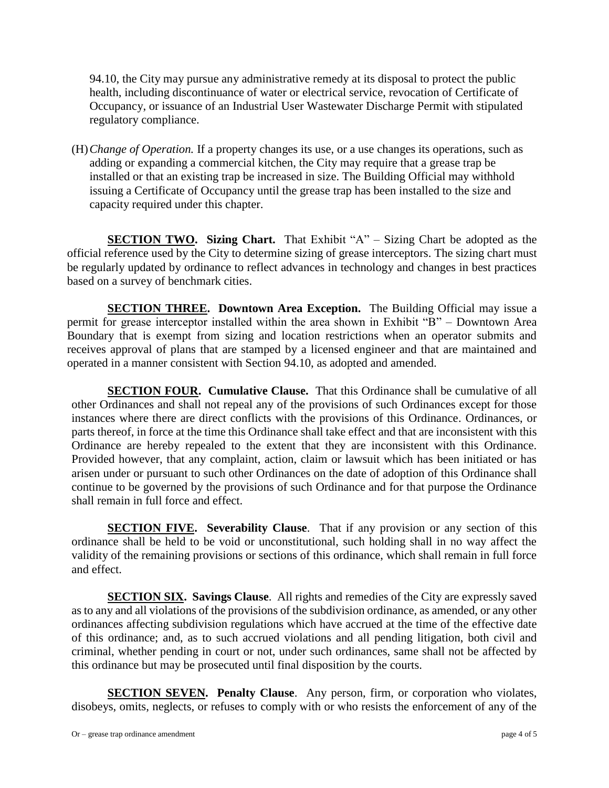94.10, the City may pursue any administrative remedy at its disposal to protect the public health, including discontinuance of water or electrical service, revocation of Certificate of Occupancy, or issuance of an Industrial User Wastewater Discharge Permit with stipulated regulatory compliance.

(H)*Change of Operation.* If a property changes its use, or a use changes its operations, such as adding or expanding a commercial kitchen, the City may require that a grease trap be installed or that an existing trap be increased in size. The Building Official may withhold issuing a Certificate of Occupancy until the grease trap has been installed to the size and capacity required under this chapter.

**SECTION TWO. Sizing Chart.** That Exhibit "A" – Sizing Chart be adopted as the official reference used by the City to determine sizing of grease interceptors. The sizing chart must be regularly updated by ordinance to reflect advances in technology and changes in best practices based on a survey of benchmark cities.

**SECTION THREE. Downtown Area Exception.** The Building Official may issue a permit for grease interceptor installed within the area shown in Exhibit "B" – Downtown Area Boundary that is exempt from sizing and location restrictions when an operator submits and receives approval of plans that are stamped by a licensed engineer and that are maintained and operated in a manner consistent with Section 94.10, as adopted and amended.

**SECTION FOUR. Cumulative Clause.** That this Ordinance shall be cumulative of all other Ordinances and shall not repeal any of the provisions of such Ordinances except for those instances where there are direct conflicts with the provisions of this Ordinance. Ordinances, or parts thereof, in force at the time this Ordinance shall take effect and that are inconsistent with this Ordinance are hereby repealed to the extent that they are inconsistent with this Ordinance. Provided however, that any complaint, action, claim or lawsuit which has been initiated or has arisen under or pursuant to such other Ordinances on the date of adoption of this Ordinance shall continue to be governed by the provisions of such Ordinance and for that purpose the Ordinance shall remain in full force and effect.

**SECTION FIVE.** Severability Clause. That if any provision or any section of this ordinance shall be held to be void or unconstitutional, such holding shall in no way affect the validity of the remaining provisions or sections of this ordinance, which shall remain in full force and effect.

**SECTION SIX. Savings Clause**. All rights and remedies of the City are expressly saved as to any and all violations of the provisions of the subdivision ordinance, as amended, or any other ordinances affecting subdivision regulations which have accrued at the time of the effective date of this ordinance; and, as to such accrued violations and all pending litigation, both civil and criminal, whether pending in court or not, under such ordinances, same shall not be affected by this ordinance but may be prosecuted until final disposition by the courts.

**SECTION SEVEN.** Penalty Clause. Any person, firm, or corporation who violates, disobeys, omits, neglects, or refuses to comply with or who resists the enforcement of any of the